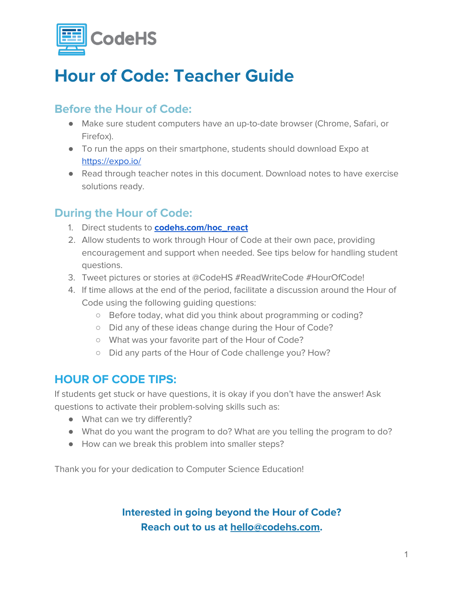

## **Hour of Code: Teacher Guide**

#### **Before the Hour of Code:**

- Make sure student computers have an up-to-date browser (Chrome, Safari, or Firefox).
- To run the apps on their smartphone, students should download Expo at <https://expo.io/>
- Read through teacher notes in this document. Download notes to have exercise solutions ready.

#### **During the Hour of Code:**

- 1. Direct students to **[codehs.com/hoc\\_react](http://codehs.com/hoc_react)**
- 2. Allow students to work through Hour of Code at their own pace, providing encouragement and support when needed. See tips below for handling student questions.
- 3. Tweet pictures or stories at @CodeHS #ReadWriteCode #HourOfCode!
- 4. If time allows at the end of the period, facilitate a discussion around the Hour of Code using the following guiding questions:
	- Before today, what did you think about programming or coding?
	- Did any of these ideas change during the Hour of Code?
	- What was your favorite part of the Hour of Code?
	- Did any parts of the Hour of Code challenge you? How?

### **HOUR OF CODE TIPS:**

If students get stuck or have questions, it is okay if you don't have the answer! Ask questions to activate their problem-solving skills such as:

- What can we try differently?
- What do you want the program to do? What are you telling the program to do?
- How can we break this problem into smaller steps?

Thank you for your dedication to Computer Science Education!

#### **Interested in going beyond the Hour of Code? Reach out to us at [hello@codehs.com](mailto:hello@codehs.com).**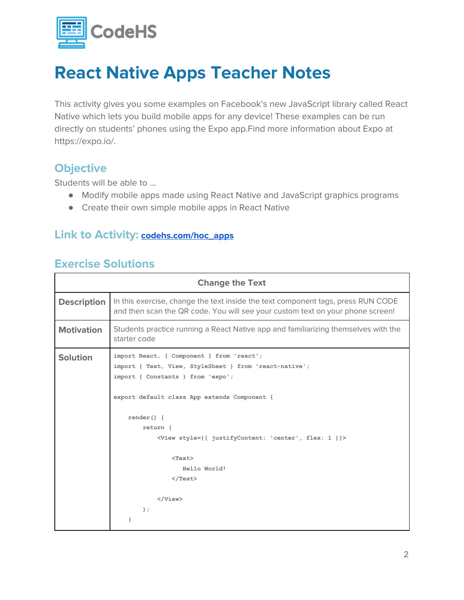

This activity gives you some examples on Facebook's new JavaScript library called React Native which lets you build mobile apps for any device! These examples can be run directly on students' phones using the Expo app.Find more information about Expo at https://expo.io/.

#### **Objective**

Students will be able to …

- Modify mobile apps made using React Native and JavaScript graphics programs
- Create their own simple mobile apps in React Native

#### **Link to Activity: [codehs.com/hoc\\_apps](http://codehs.com/hoc_apps)**

#### **Exercise Solutions**

| <b>Change the Text</b> |                                                                                                                                                                                                                                                                                                        |  |
|------------------------|--------------------------------------------------------------------------------------------------------------------------------------------------------------------------------------------------------------------------------------------------------------------------------------------------------|--|
| <b>Description</b>     | In this exercise, change the text inside the text component tags, press RUN CODE<br>and then scan the QR code. You will see your custom text on your phone screen!                                                                                                                                     |  |
| <b>Motivation</b>      | Students practice running a React Native app and familiarizing themselves with the<br>starter code                                                                                                                                                                                                     |  |
| <b>Solution</b>        | import React, { Component } from 'react';<br>import { Text, View, StyleSheet } from 'react-native';<br>import { Constants } from 'expo';<br>export default class App extends Component {<br>$render() { }$<br>return (<br><view 'center',="" 1="" flex:="" justifycontent:="" style="{{" }}=""></view> |  |
|                        | $<$ Text $>$<br>Hello World!<br>$\langle$ /Text><br>$\langle$ /View><br>$\rightarrow$ :<br>ł                                                                                                                                                                                                           |  |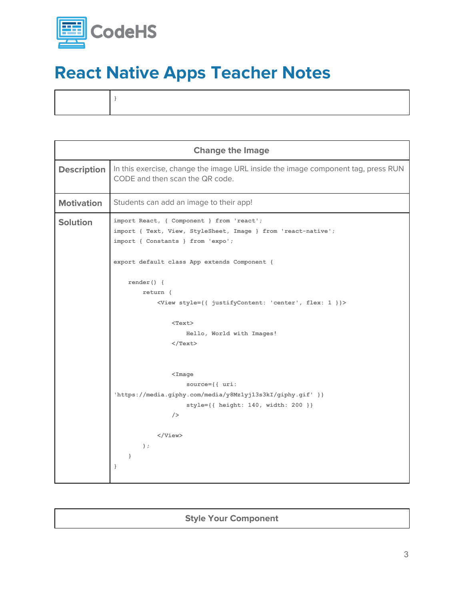

| <b>Change the Image</b> |                                                                                                                                                                                                                                                                                                                                                                                                                          |  |
|-------------------------|--------------------------------------------------------------------------------------------------------------------------------------------------------------------------------------------------------------------------------------------------------------------------------------------------------------------------------------------------------------------------------------------------------------------------|--|
| <b>Description</b>      | In this exercise, change the image URL inside the image component tag, press RUN<br>CODE and then scan the QR code.                                                                                                                                                                                                                                                                                                      |  |
| <b>Motivation</b>       | Students can add an image to their app!                                                                                                                                                                                                                                                                                                                                                                                  |  |
| <b>Solution</b>         | import React, { Component } from 'react';<br>import { Text, View, StyleSheet, Image } from 'react-native';<br>import { Constants } from 'expo';<br>export default class App extends Component {<br>$render() { }$<br>return (<br><view 'center',="" 1="" flex:="" justifycontent:="" style="{{" }}=""><br/><math>&lt;</math>Text<math>&gt;</math><br/>Hello, World with Images!<br/><math>\langle</math>/Text&gt;</view> |  |
|                         | $<$ Image<br>$source={\{ \ uri:$<br>'https://media.giphy.com/media/y8Mz1yj13s3kI/giphy.gif' }}<br>style={{ height: 140, width: 200 }}<br>/<br><br>$\rightarrow$ :<br>$\mathcal{F}$<br>}                                                                                                                                                                                                                                  |  |

#### **Style Your Component**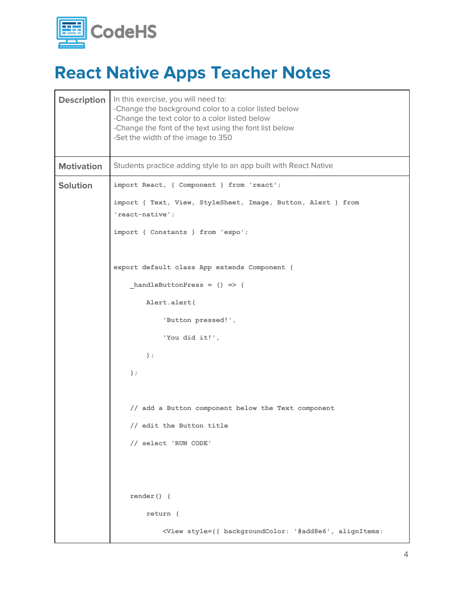

| <b>Description</b> | In this exercise, you will need to:<br>-Change the background color to a color listed below<br>-Change the text color to a color listed below<br>-Change the font of the text using the font list below<br>-Set the width of the image to 350 |
|--------------------|-----------------------------------------------------------------------------------------------------------------------------------------------------------------------------------------------------------------------------------------------|
| <b>Motivation</b>  | Students practice adding style to an app built with React Native                                                                                                                                                                              |
| <b>Solution</b>    | import React, { Component } from 'react';                                                                                                                                                                                                     |
|                    | import { Text, View, StyleSheet, Image, Button, Alert } from<br>'react-native';                                                                                                                                                               |
|                    | import { Constants } from 'expo';                                                                                                                                                                                                             |
|                    | export default class App extends Component {                                                                                                                                                                                                  |
|                    | handleButtonPress = $()$ => {                                                                                                                                                                                                                 |
|                    | Alert.alert(                                                                                                                                                                                                                                  |
|                    | 'Button pressed!',                                                                                                                                                                                                                            |
|                    | 'You did it!',                                                                                                                                                                                                                                |
|                    | $)$ ;                                                                                                                                                                                                                                         |
|                    | $\}$ ;                                                                                                                                                                                                                                        |
|                    |                                                                                                                                                                                                                                               |
|                    | // add a Button component below the Text component                                                                                                                                                                                            |
|                    | // edit the Button title                                                                                                                                                                                                                      |
|                    | // select 'RUN CODE'                                                                                                                                                                                                                          |
|                    |                                                                                                                                                                                                                                               |
|                    |                                                                                                                                                                                                                                               |
|                    | $render() { }$                                                                                                                                                                                                                                |
|                    | return (                                                                                                                                                                                                                                      |
|                    | <view '#add8e6',="" alignitems:<="" backgroundcolor:="" style="{{" th=""></view>                                                                                                                                                              |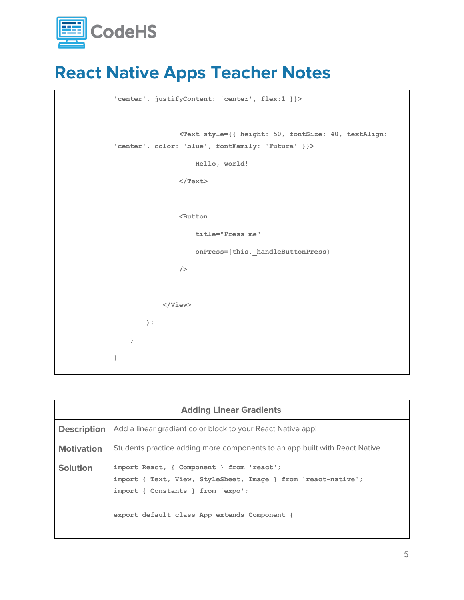



| <b>Adding Linear Gradients</b> |                                                                                                                                                                                                 |  |
|--------------------------------|-------------------------------------------------------------------------------------------------------------------------------------------------------------------------------------------------|--|
| <b>Description</b>             | Add a linear gradient color block to your React Native app!                                                                                                                                     |  |
| <b>Motivation</b>              | Students practice adding more components to an app built with React Native                                                                                                                      |  |
| <b>Solution</b>                | import React, { Component } from 'react';<br>import { Text, View, StyleSheet, Image } from 'react-native';<br>import { Constants } from 'expo';<br>export default class App extends Component { |  |